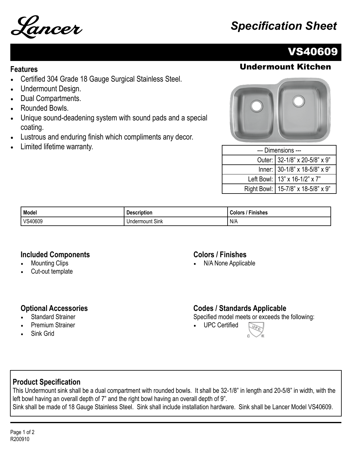

# VS40609

# **Features** Undermount Kitchen

- Certified 304 Grade 18 Gauge Surgical Stainless Steel.
- Undermount Design.
- Dual Compartments.
- Rounded Bowls.
- Unique sound-deadening system with sound pads and a special coating.
- Lustrous and enduring finish which compliments any decor.
- Limited lifetime warranty.



| --- Dimensions --- |                                      |  |
|--------------------|--------------------------------------|--|
|                    | Outer: 32-1/8" x 20-5/8" x 9"        |  |
|                    | Inner: 30-1/8" x 18-5/8" x 9"        |  |
|                    | Left Bowl:   13" x 16-1/2" x 7"      |  |
|                    | Right Bowl:   15-7/8" x 18-5/8" x 9" |  |

| Model   | <b>Description</b> | olor <sup>۔</sup><br>Finishes |
|---------|--------------------|-------------------------------|
| VS40609 | Sink<br>Undermount | N/A                           |

#### **Included Components**

- **Mounting Clips**
- Cut-out template

#### **Colors / Finishes**

• N/A None Applicable

#### **Optional Accessories**

- **Standard Strainer**
- Premium Strainer
- Sink Grid

### **Codes / Standards Applicable**

Specified model meets or exceeds the following:

• UPC Certified



### **Product Specification**

This Undermount sink shall be a dual compartment with rounded bowls. It shall be 32-1/8" in length and 20-5/8" in width, with the left bowl having an overall depth of 7" and the right bowl having an overall depth of 9". Sink shall be made of 18 Gauge Stainless Steel. Sink shall include installation hardware. Sink shall be Lancer Model VS40609.